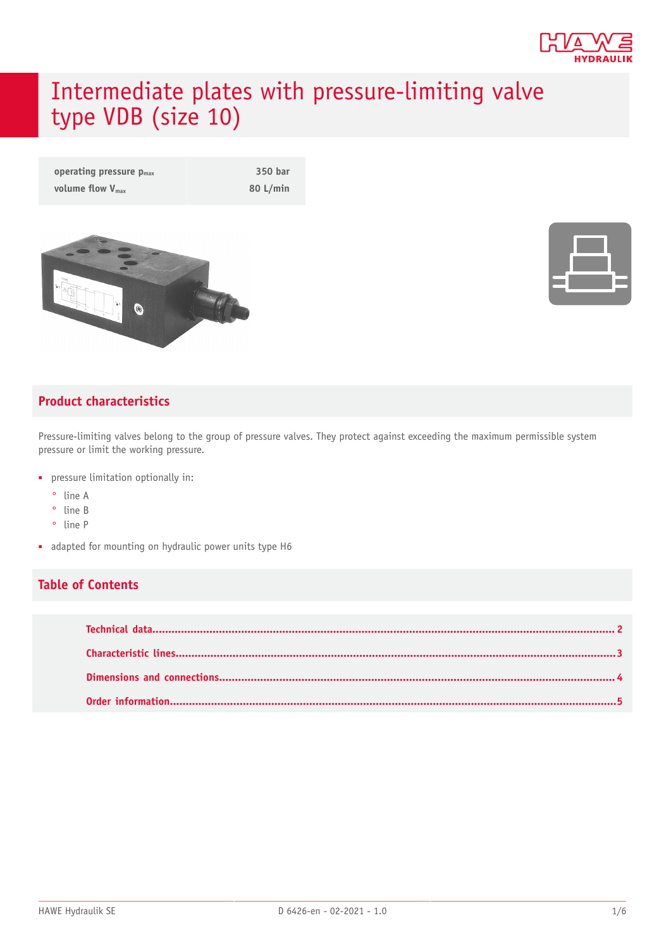

# Intermediate plates with pressure-limiting valve type VDB (size 10)

| operating pressure $p_{max}$ | 350 bar    |
|------------------------------|------------|
| volume flow $V_{\text{max}}$ | $80$ L/min |





#### **Product characteristics**

Pressure-limiting valves belong to the group of pressure valves. They protect against exceeding the maximum permissible system pressure or limit the working pressure.

- pressure limitation optionally in:
	- ° line A
	- ° line B
	- ° line P
- adapted for mounting on hydraulic power units type H6

#### **Table of Contents**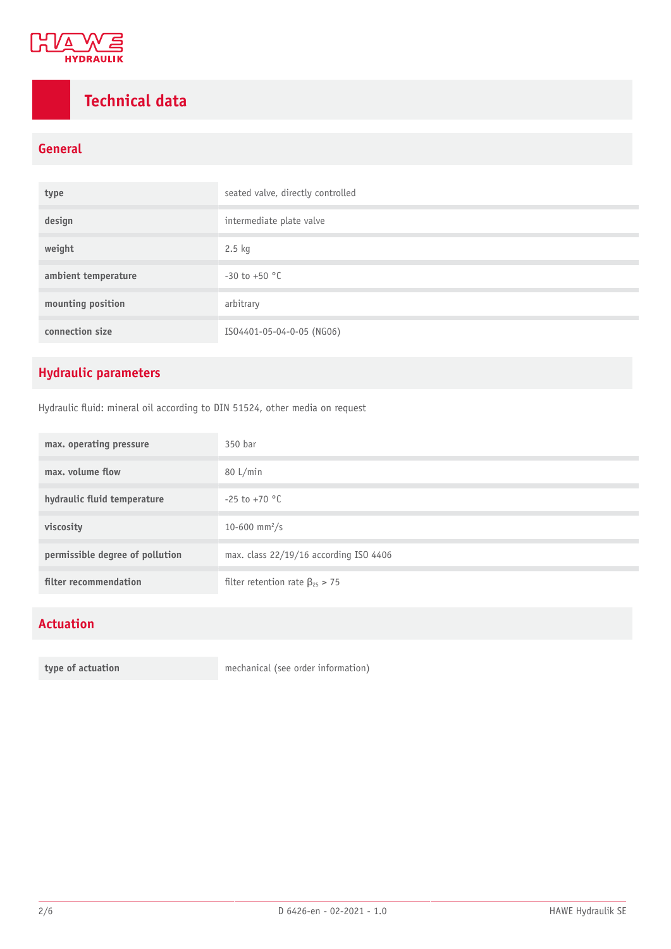

# <span id="page-1-0"></span>**Technical data**

#### **General**

| type                | seated valve, directly controlled |
|---------------------|-----------------------------------|
| design              | intermediate plate valve          |
| weight              | $2.5$ kg                          |
| ambient temperature | $-30$ to $+50$ °C                 |
| mounting position   | arbitrary                         |
| connection size     | IS04401-05-04-0-05 (NG06)         |

### **Hydraulic parameters**

Hydraulic fluid: mineral oil according to DIN 51524, other media on request

| max. operating pressure         | 350 bar                                 |
|---------------------------------|-----------------------------------------|
| max. volume flow                | 80 L/min                                |
| hydraulic fluid temperature     | $-25$ to $+70$ °C                       |
| viscosity                       | 10-600 mm <sup>2</sup> /s               |
| permissible degree of pollution | max. class 22/19/16 according ISO 4406  |
| filter recommendation           | filter retention rate $\beta_{25} > 75$ |

#### **Actuation**

**type of actuation** mechanical (see order information)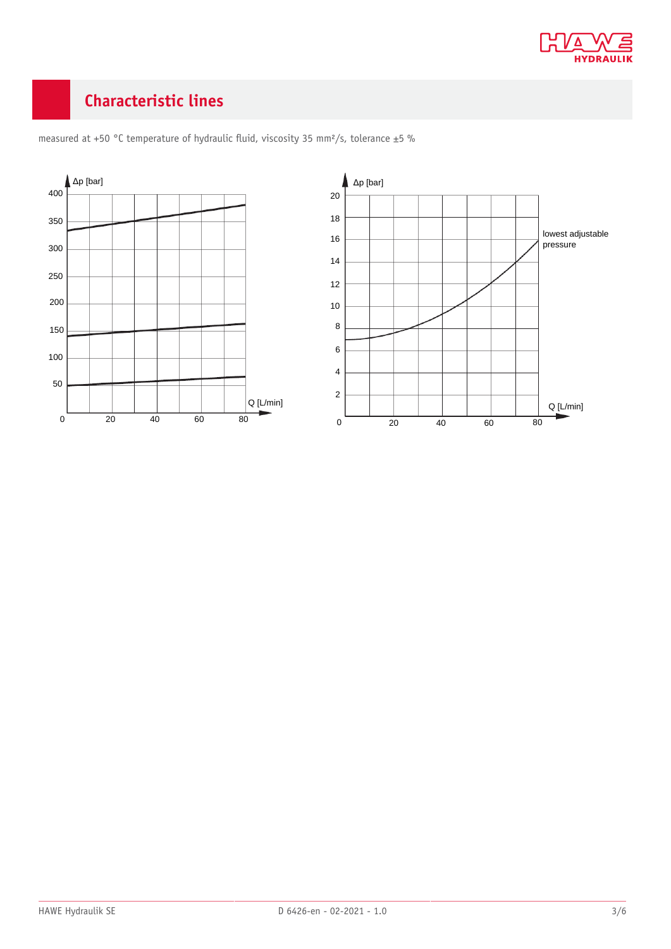

## <span id="page-2-0"></span>**Characteristic lines**



measured at +50 °C temperature of hydraulic fluid, viscosity 35 mm<sup>2</sup>/s, tolerance  $\pm$ 5 %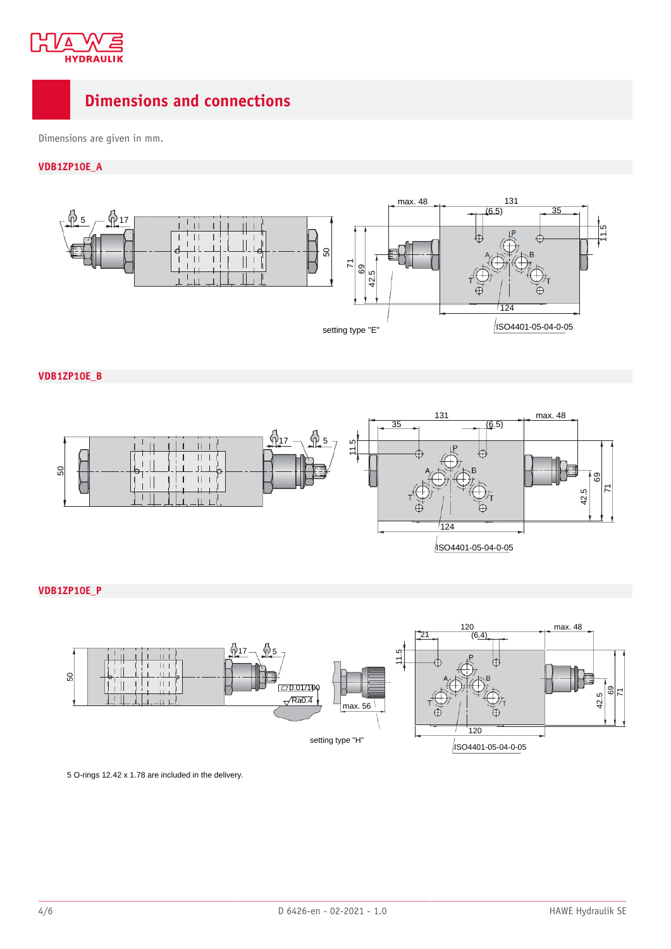

### <span id="page-3-0"></span>**Dimensions and connections**

Dimensions are given in mm.

**VDB1ZP10E\_A**



**VDB1ZP10E\_B**



#### **VDB1ZP10E\_P**



5 O-rings 12.42 x 1.78 are included in the delivery.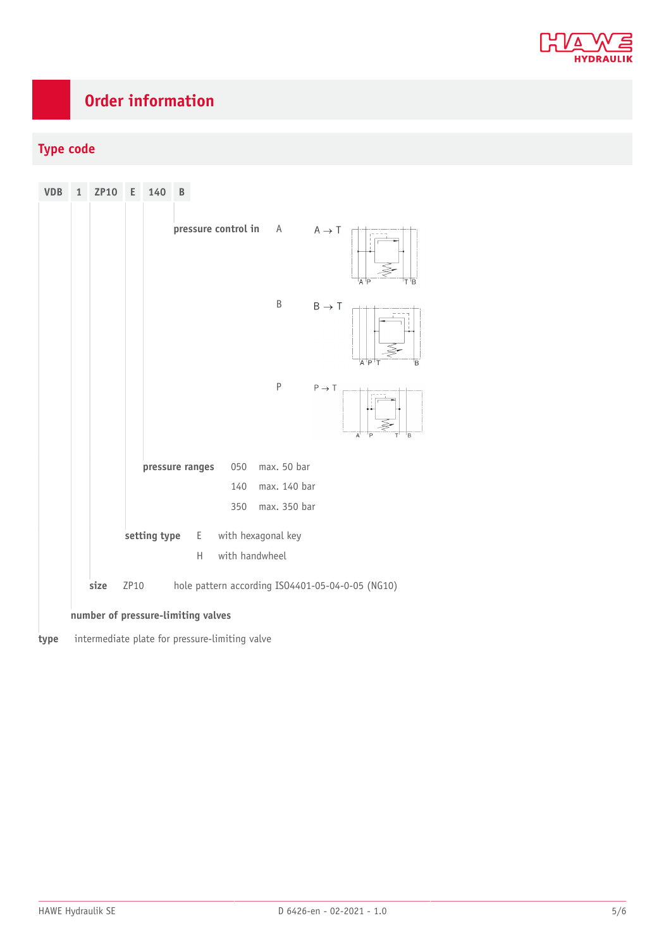

# <span id="page-4-0"></span>**Order information**

### **Type code**

| <b>VDB</b>                         | $\mathbf{1}$                                                     | <b>ZP10</b> | Ε | 140                                     | B |   |                |                       |                   |                         |
|------------------------------------|------------------------------------------------------------------|-------------|---|-----------------------------------------|---|---|----------------|-----------------------|-------------------|-------------------------|
|                                    |                                                                  |             |   |                                         |   |   |                | pressure control in A | $A \rightarrow T$ | P<br>B<br>А             |
|                                    |                                                                  |             |   |                                         |   |   |                | Β                     | $B \rightarrow T$ | $A$ <sup>I</sup> P<br>B |
|                                    |                                                                  |             |   |                                         |   |   |                | $\sf P$               | $P \rightarrow T$ | B<br>Α                  |
|                                    |                                                                  |             |   | pressure ranges                         |   |   | 050            | max. 50 bar           |                   |                         |
|                                    |                                                                  |             |   |                                         |   |   | 140            | max. 140 bar          |                   |                         |
|                                    |                                                                  |             |   |                                         |   |   | 350            | max. 350 bar          |                   |                         |
|                                    |                                                                  |             |   | setting type<br>with hexagonal key<br>E |   |   |                |                       |                   |                         |
|                                    |                                                                  |             |   |                                         |   | H | with handwheel |                       |                   |                         |
|                                    | size<br>ZP10<br>hole pattern according ISO4401-05-04-0-05 (NG10) |             |   |                                         |   |   |                |                       |                   |                         |
| number of pressure-limiting valves |                                                                  |             |   |                                         |   |   |                |                       |                   |                         |
| type                               | intermediate plate for pressure-limiting valve                   |             |   |                                         |   |   |                |                       |                   |                         |